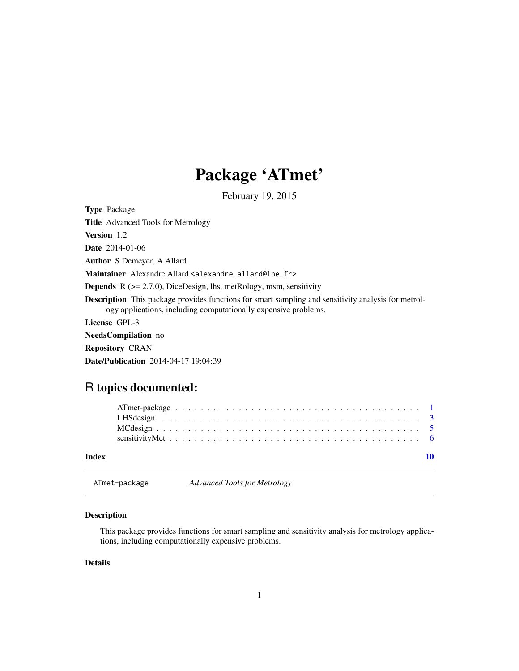## Package 'ATmet'

February 19, 2015

<span id="page-0-1"></span><span id="page-0-0"></span>Type Package Title Advanced Tools for Metrology Version 1.2 Date 2014-01-06 Author S.Demeyer, A.Allard Maintainer Alexandre Allard <alexandre.allard@lne.fr> **Depends**  $R$  ( $>= 2.7.0$ ), DiceDesign, lhs, metRology, msm, sensitivity Description This package provides functions for smart sampling and sensitivity analysis for metrology applications, including computationally expensive problems. License GPL-3 NeedsCompilation no Repository CRAN

Date/Publication 2014-04-17 19:04:39

### R topics documented:

| Index |  |  |  |  |  |  |  |  |  |  |  |  |  |  |  |  |  |  |  |  |
|-------|--|--|--|--|--|--|--|--|--|--|--|--|--|--|--|--|--|--|--|--|
|       |  |  |  |  |  |  |  |  |  |  |  |  |  |  |  |  |  |  |  |  |
|       |  |  |  |  |  |  |  |  |  |  |  |  |  |  |  |  |  |  |  |  |

ATmet-package *Advanced Tools for Metrology*

#### Description

This package provides functions for smart sampling and sensitivity analysis for metrology applications, including computationally expensive problems.

#### Details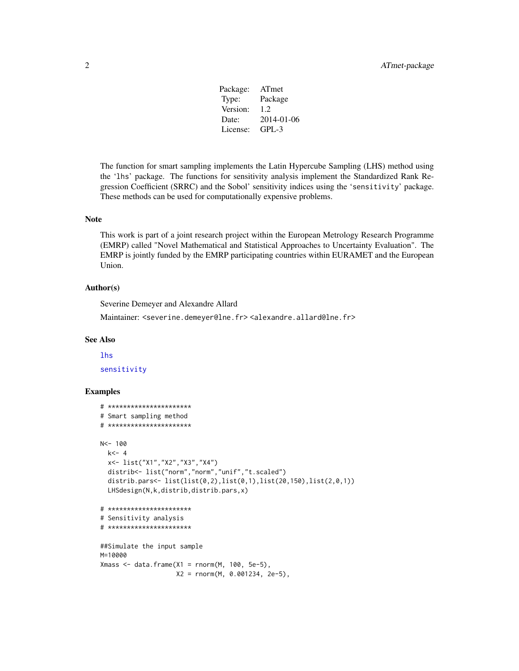Package: ATmet Type: Package Version: 1.2 Date: 2014-01-06 License: GPL-3

<span id="page-1-0"></span>The function for smart sampling implements the Latin Hypercube Sampling (LHS) method using the 'lhs' package. The functions for sensitivity analysis implement the Standardized Rank Regression Coefficient (SRRC) and the Sobol' sensitivity indices using the 'sensitivity' package. These methods can be used for computationally expensive problems.

#### Note

This work is part of a joint research project within the European Metrology Research Programme (EMRP) called "Novel Mathematical and Statistical Approaches to Uncertainty Evaluation". The EMRP is jointly funded by the EMRP participating countries within EURAMET and the European Union.

#### Author(s)

Severine Demeyer and Alexandre Allard

Maintainer: <severine.demeyer@lne.fr> <alexandre.allard@lne.fr>

#### See Also

#### [lhs](#page-0-1)

[sensitivity](#page-0-1)

#### Examples

```
# **********************
# Smart sampling method
# **********************
N<- 100
  k < -4x<- list("X1","X2","X3","X4")
  distrib<- list("norm","norm","unif","t.scaled")
  distrib.pars<- list(list(0,2),list(0,1),list(20,150),list(2,0,1))
  LHSdesign(N,k,distrib,distrib.pars,x)
# **********************
# Sensitivity analysis
# **********************
##Simulate the input sample
M=10000
Xmass <- data.frame(X1 = \text{rnorm}(M, 100, 5e-5),
                    X2 = rnorm(M, 0.001234, 2e-5),
```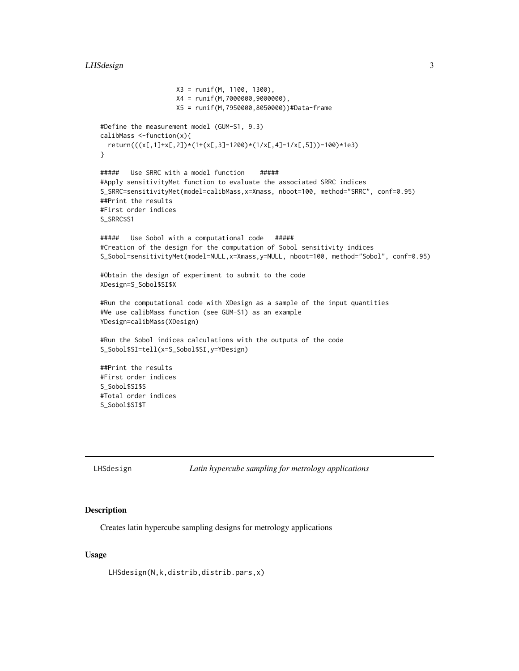```
X3 = runif(M, 1100, 1300),
                    X4 = runif(M,7000000,9000000),
                   X5 = runif(M,7950000,8050000))#Data-frame
#Define the measurement model (GUM-S1, 9.3)
calibMass <-function(x){
 return(((x[,1]+x[,2])*(1+(x[,3]-1200)*(1/x[,4]-1/x[,5]))-100)*1e3)
}
##### Use SRRC with a model function #####
#Apply sensitivityMet function to evaluate the associated SRRC indices
S_SRRC=sensitivityMet(model=calibMass,x=Xmass, nboot=100, method="SRRC", conf=0.95)
##Print the results
#First order indices
S_SRRC$S1
##### Use Sobol with a computational code #####
#Creation of the design for the computation of Sobol sensitivity indices
S_Sobol=sensitivityMet(model=NULL,x=Xmass,y=NULL, nboot=100, method="Sobol", conf=0.95)
#Obtain the design of experiment to submit to the code
XDesign=S_Sobol$SI$X
#Run the computational code with XDesign as a sample of the input quantities
#We use calibMass function (see GUM-S1) as an example
YDesign=calibMass(XDesign)
#Run the Sobol indices calculations with the outputs of the code
S_Sobol$SI=tell(x=S_Sobol$SI,y=YDesign)
##Print the results
#First order indices
S_Sobol$SI$S
#Total order indices
S_Sobol$SI$T
```
LHSdesign *Latin hypercube sampling for metrology applications*

#### Description

Creates latin hypercube sampling designs for metrology applications

#### Usage

LHSdesign(N,k,distrib,distrib.pars,x)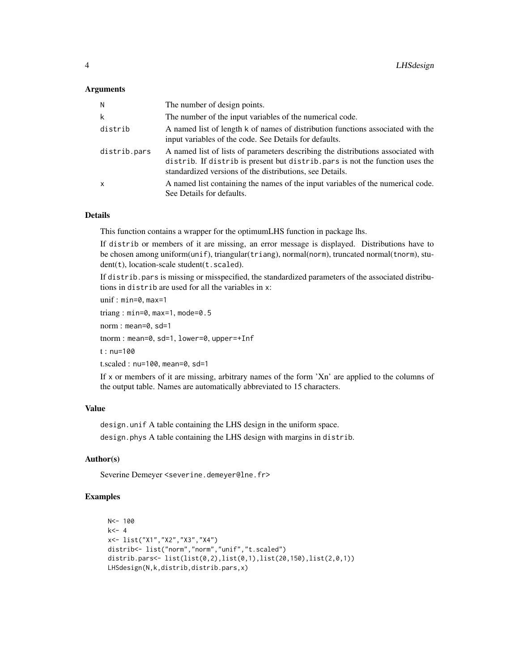#### **Arguments**

| N            | The number of design points.                                                                                                                                                                                                 |
|--------------|------------------------------------------------------------------------------------------------------------------------------------------------------------------------------------------------------------------------------|
| k            | The number of the input variables of the numerical code.                                                                                                                                                                     |
| distrib      | A named list of length k of names of distribution functions associated with the<br>input variables of the code. See Details for defaults.                                                                                    |
| distrib.pars | A named list of lists of parameters describing the distributions associated with<br>distrib. If distrib is present but distrib pars is not the function uses the<br>standardized versions of the distributions, see Details. |
| x            | A named list containing the names of the input variables of the numerical code.<br>See Details for defaults.                                                                                                                 |

#### Details

This function contains a wrapper for the optimumLHS function in package lhs.

If distrib or members of it are missing, an error message is displayed. Distributions have to be chosen among uniform(unif), triangular(triang), normal(norm), truncated normal(tnorm), student(t), location-scale student(t.scaled).

If distrib.pars is missing or misspecified, the standardized parameters of the associated distributions in distrib are used for all the variables in x:

 $unif: min=0, max=1$ 

```
triang : min=0, max=1, mode=0.5
```

```
norm : mean=0, sd=1
```
tnorm : mean=0, sd=1, lower=0, upper=+Inf

t : nu=100

t.scaled : nu=100, mean=0, sd=1

If x or members of it are missing, arbitrary names of the form 'Xn' are applied to the columns of the output table. Names are automatically abbreviated to 15 characters.

#### Value

design.unif A table containing the LHS design in the uniform space.

design.phys A table containing the LHS design with margins in distrib.

#### Author(s)

Severine Demeyer <severine.demeyer@lne.fr>

#### Examples

```
N<- 100
k<-4x<- list("X1","X2","X3","X4")
distrib<- list("norm","norm","unif","t.scaled")
distrib.pars<- list(list(0,2),list(0,1),list(20,150),list(2,0,1))
LHSdesign(N,k,distrib,distrib.pars,x)
```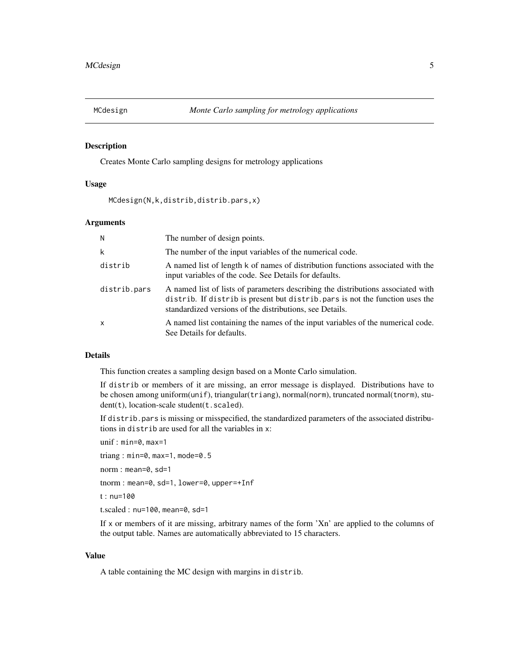<span id="page-4-0"></span>

#### Description

Creates Monte Carlo sampling designs for metrology applications

#### Usage

MCdesign(N,k,distrib,distrib.pars,x)

#### **Arguments**

| N.           | The number of design points.                                                                                                                                                                                                  |
|--------------|-------------------------------------------------------------------------------------------------------------------------------------------------------------------------------------------------------------------------------|
| k            | The number of the input variables of the numerical code.                                                                                                                                                                      |
| distrib      | A named list of length k of names of distribution functions associated with the<br>input variables of the code. See Details for defaults.                                                                                     |
| distrib.pars | A named list of lists of parameters describing the distributions associated with<br>distrib. If distrib is present but distrib. pars is not the function uses the<br>standardized versions of the distributions, see Details. |
| $\mathsf{x}$ | A named list containing the names of the input variables of the numerical code.<br>See Details for defaults.                                                                                                                  |

#### Details

This function creates a sampling design based on a Monte Carlo simulation.

If distrib or members of it are missing, an error message is displayed. Distributions have to be chosen among uniform(unif), triangular(triang), normal(norm), truncated normal(tnorm), student(t), location-scale student(t.scaled).

If distrib.pars is missing or misspecified, the standardized parameters of the associated distributions in distrib are used for all the variables in x:

unif : min=0, max=1

triang : min=0, max=1, mode=0.5

norm : mean=0, sd=1

tnorm : mean=0, sd=1, lower=0, upper=+Inf

t : nu=100

t.scaled : nu=100, mean=0, sd=1

If x or members of it are missing, arbitrary names of the form 'Xn' are applied to the columns of the output table. Names are automatically abbreviated to 15 characters.

#### Value

A table containing the MC design with margins in distrib.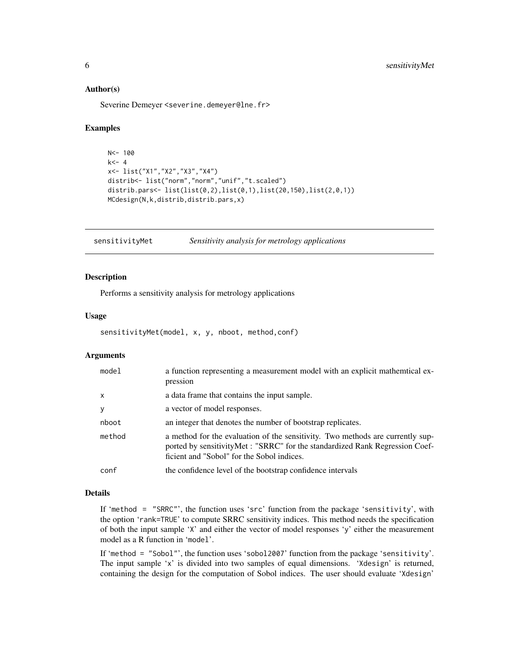#### <span id="page-5-0"></span>Author(s)

Severine Demeyer <severine.demeyer@lne.fr>

#### Examples

```
N < - 100k<-4x<- list("X1","X2","X3","X4")
distrib<- list("norm","norm","unif","t.scaled")
distrib.pars<- list(list(0,2),list(0,1),list(20,150),list(2,0,1))
MCdesign(N,k,distrib,distrib.pars,x)
```
sensitivityMet *Sensitivity analysis for metrology applications* 

#### Description

Performs a sensitivity analysis for metrology applications

#### Usage

```
sensitivityMet(model, x, y, nboot, method,conf)
```
#### **Arguments**

| model        | a function representing a measurement model with an explicit mathemical ex-<br>pression                                                                                                                      |
|--------------|--------------------------------------------------------------------------------------------------------------------------------------------------------------------------------------------------------------|
| $\mathsf{x}$ | a data frame that contains the input sample.                                                                                                                                                                 |
| y            | a vector of model responses.                                                                                                                                                                                 |
| nboot        | an integer that denotes the number of bootstrap replicates.                                                                                                                                                  |
| method       | a method for the evaluation of the sensitivity. Two methods are currently sup-<br>ported by sensitivityMet : "SRRC" for the standardized Rank Regression Coef-<br>ficient and "Sobol" for the Sobol indices. |
| conf         | the confidence level of the bootstrap confidence intervals                                                                                                                                                   |

#### Details

If 'method = "SRRC"', the function uses 'src' function from the package 'sensitivity', with the option 'rank=TRUE' to compute SRRC sensitivity indices. This method needs the specification of both the input sample 'X' and either the vector of model responses 'y' either the measurement model as a R function in 'model'.

If 'method = "Sobol"', the function uses 'sobol2007' function from the package 'sensitivity'. The input sample 'x' is divided into two samples of equal dimensions. 'Xdesign' is returned, containing the design for the computation of Sobol indices. The user should evaluate 'Xdesign'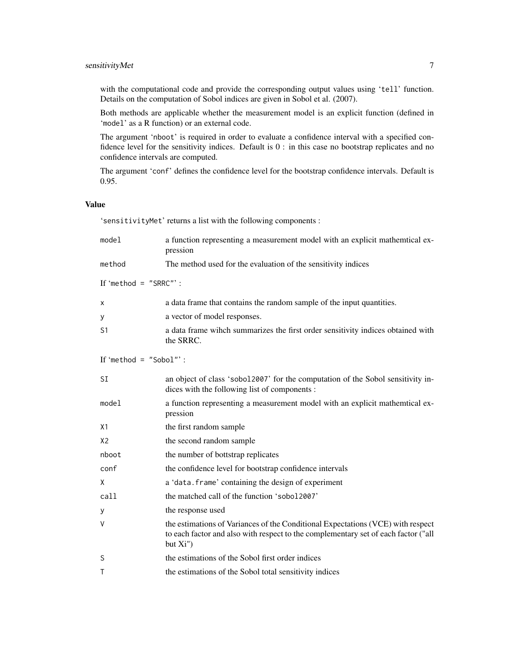#### sensitivityMet 7

with the computational code and provide the corresponding output values using 'tell' function. Details on the computation of Sobol indices are given in Sobol et al. (2007).

Both methods are applicable whether the measurement model is an explicit function (defined in 'model' as a R function) or an external code.

The argument 'nboot' is required in order to evaluate a confidence interval with a specified confidence level for the sensitivity indices. Default is 0 : in this case no bootstrap replicates and no confidence intervals are computed.

The argument 'conf' defines the confidence level for the bootstrap confidence intervals. Default is 0.95.

#### Value

'sensitivityMet' returns a list with the following components :

| model                    | a function representing a measurement model with an explicit mathemtical ex-<br>pression                                                                                             |
|--------------------------|--------------------------------------------------------------------------------------------------------------------------------------------------------------------------------------|
| method                   | The method used for the evaluation of the sensitivity indices                                                                                                                        |
| If 'method = $"SIRC"$ :  |                                                                                                                                                                                      |
| x                        | a data frame that contains the random sample of the input quantities.                                                                                                                |
| у                        | a vector of model responses.                                                                                                                                                         |
| S <sub>1</sub>           | a data frame wihch summarizes the first order sensitivity indices obtained with<br>the SRRC.                                                                                         |
| If 'method = $"Sobol"$ : |                                                                                                                                                                                      |
| <b>SI</b>                | an object of class 'sobol2007' for the computation of the Sobol sensitivity in-<br>dices with the following list of components :                                                     |
| model                    | a function representing a measurement model with an explicit mathemtical ex-<br>pression                                                                                             |
| X1                       | the first random sample                                                                                                                                                              |
| X <sub>2</sub>           | the second random sample                                                                                                                                                             |
| nboot                    | the number of bottstrap replicates                                                                                                                                                   |
| conf                     | the confidence level for bootstrap confidence intervals                                                                                                                              |
| χ                        | a 'data. frame' containing the design of experiment                                                                                                                                  |
| call                     | the matched call of the function 'sobol2007'                                                                                                                                         |
| у                        | the response used                                                                                                                                                                    |
| V                        | the estimations of Variances of the Conditional Expectations (VCE) with respect<br>to each factor and also with respect to the complementary set of each factor ("all<br>but $Xi'$ ) |
| S                        | the estimations of the Sobol first order indices                                                                                                                                     |
| T                        | the estimations of the Sobol total sensitivity indices                                                                                                                               |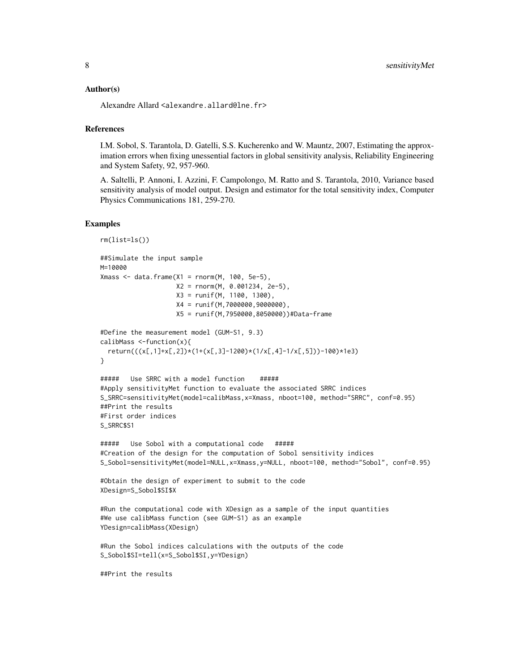#### Author(s)

Alexandre Allard <alexandre.allard@lne.fr>

#### References

I.M. Sobol, S. Tarantola, D. Gatelli, S.S. Kucherenko and W. Mauntz, 2007, Estimating the approximation errors when fixing unessential factors in global sensitivity analysis, Reliability Engineering and System Safety, 92, 957-960.

A. Saltelli, P. Annoni, I. Azzini, F. Campolongo, M. Ratto and S. Tarantola, 2010, Variance based sensitivity analysis of model output. Design and estimator for the total sensitivity index, Computer Physics Communications 181, 259-270.

#### Examples

```
rm(list=ls())
##Simulate the input sample
M=10000
Xmass <- data.frame(X1 = \text{rnorm}(M, 100, 5e-5),
                    X2 = rnorm(M, 0.001234, 2e-5),
                    X3 = runif(M, 1100, 1300),
                    X4 = runif(M,7000000,9000000),
                    X5 = runif(M,7950000,8050000))#Data-frame
#Define the measurement model (GUM-S1, 9.3)
calibMass <-function(x){
  return(((x[,1]+x[,2])*(1+(x[,3]-1200)*(1/x[,4]-1/x[,5]))-100)*1e3)
}
##### Use SRRC with a model function #####
#Apply sensitivityMet function to evaluate the associated SRRC indices
S_SRRC=sensitivityMet(model=calibMass,x=Xmass, nboot=100, method="SRRC", conf=0.95)
##Print the results
#First order indices
S_SRRC$S1
##### Use Sobol with a computational code #####
#Creation of the design for the computation of Sobol sensitivity indices
S_Sobol=sensitivityMet(model=NULL,x=Xmass,y=NULL, nboot=100, method="Sobol", conf=0.95)
#Obtain the design of experiment to submit to the code
XDesign=S_Sobol$SI$X
#Run the computational code with XDesign as a sample of the input quantities
#We use calibMass function (see GUM-S1) as an example
YDesign=calibMass(XDesign)
#Run the Sobol indices calculations with the outputs of the code
S_Sobol$SI=tell(x=S_Sobol$SI,y=YDesign)
##Print the results
```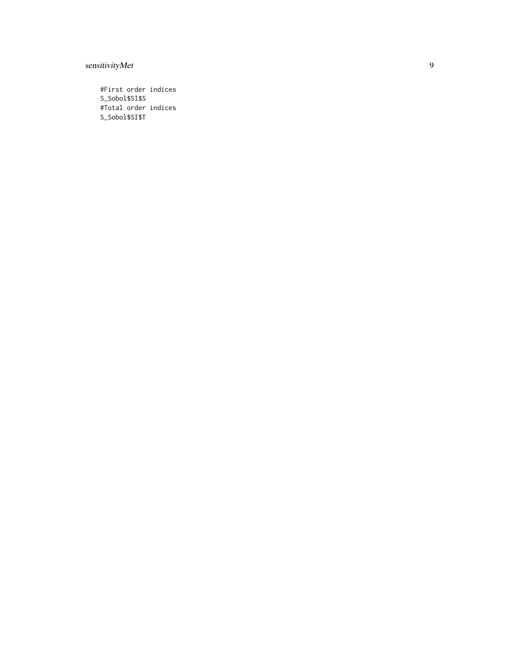#### sensitivityMet

#First order indices S\_Sobol\$SI\$S #Total order indices S\_Sobol\$SI\$T